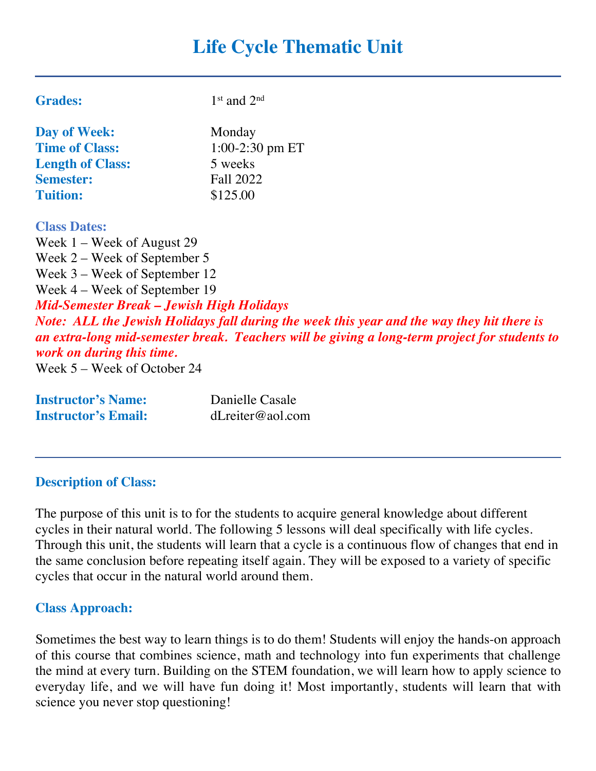# **Life Cycle Thematic Unit**

| <b>Grades:</b>                                                                                                                                                                                                                                                                                                                                                         | $1st$ and $2nd$                                                                                                                                                                             |
|------------------------------------------------------------------------------------------------------------------------------------------------------------------------------------------------------------------------------------------------------------------------------------------------------------------------------------------------------------------------|---------------------------------------------------------------------------------------------------------------------------------------------------------------------------------------------|
| Day of Week:                                                                                                                                                                                                                                                                                                                                                           | Monday                                                                                                                                                                                      |
| <b>Time of Class:</b>                                                                                                                                                                                                                                                                                                                                                  | $1:00-2:30$ pm ET                                                                                                                                                                           |
| <b>Length of Class:</b>                                                                                                                                                                                                                                                                                                                                                | 5 weeks                                                                                                                                                                                     |
| <b>Semester:</b>                                                                                                                                                                                                                                                                                                                                                       | Fall 2022                                                                                                                                                                                   |
| <b>Tuition:</b>                                                                                                                                                                                                                                                                                                                                                        | \$125.00                                                                                                                                                                                    |
| <b>Class Dates:</b>                                                                                                                                                                                                                                                                                                                                                    |                                                                                                                                                                                             |
| Week $1$ – Week of August 29                                                                                                                                                                                                                                                                                                                                           |                                                                                                                                                                                             |
| Week $2$ – Week of September 5                                                                                                                                                                                                                                                                                                                                         |                                                                                                                                                                                             |
| Week 3 – Week of September 12                                                                                                                                                                                                                                                                                                                                          |                                                                                                                                                                                             |
| Week 4 – Week of September 19                                                                                                                                                                                                                                                                                                                                          |                                                                                                                                                                                             |
| <b>Mid-Semester Break - Jewish High Holidays</b>                                                                                                                                                                                                                                                                                                                       |                                                                                                                                                                                             |
| work on during this time.<br>Week $5 -$ Week of October 24                                                                                                                                                                                                                                                                                                             | Note: ALL the Jewish Holidays fall during the week this year and the way they hit there is<br>an extra-long mid-semester break. Teachers will be giving a long-term project for students to |
| $\Gamma$ <sub>re</sub> $\mathcal{A}$ <sub>re</sub> $\mathcal{A}$ $\mathcal{A}$ $\mathcal{A}$ $\mathcal{A}$ $\mathcal{A}$ $\mathcal{A}$ $\mathcal{A}$ $\mathcal{A}$ $\mathcal{A}$ $\mathcal{A}$ $\mathcal{A}$ $\mathcal{A}$ $\mathcal{A}$ $\mathcal{A}$ $\mathcal{A}$ $\mathcal{A}$ $\mathcal{A}$ $\mathcal{A}$ $\mathcal{A}$ $\mathcal{A}$ $\mathcal{A}$ $\mathcal{A}$ | $Dem: 112 Cem 12$                                                                                                                                                                           |

| <b>Instructor's Name:</b>  |  |
|----------------------------|--|
| <b>Instructor's Email:</b> |  |

**Instructor's Name:** Danielle Casale **Instructor's Email:** dLreiter@aol.com

#### **Description of Class:**

The purpose of this unit is to for the students to acquire general knowledge about different cycles in their natural world. The following 5 lessons will deal specifically with life cycles. Through this unit, the students will learn that a cycle is a continuous flow of changes that end in the same conclusion before repeating itself again. They will be exposed to a variety of specific cycles that occur in the natural world around them.

#### **Class Approach:**

Sometimes the best way to learn things is to do them! Students will enjoy the hands-on approach of this course that combines science, math and technology into fun experiments that challenge the mind at every turn. Building on the STEM foundation, we will learn how to apply science to everyday life, and we will have fun doing it! Most importantly, students will learn that with science you never stop questioning!